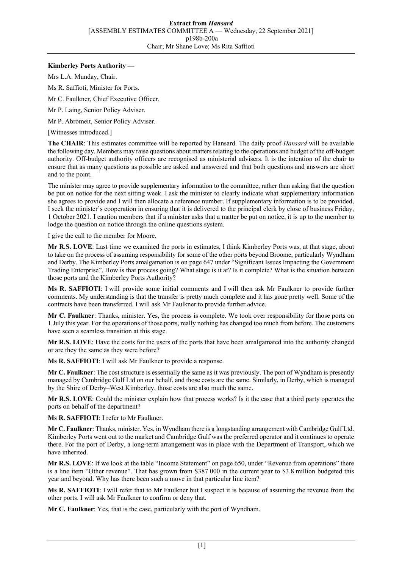## **Kimberley Ports Authority —**

Mrs L.A. Munday, Chair.

Ms R. Saffioti, Minister for Ports.

Mr C. Faulkner, Chief Executive Officer.

Mr P. Laing, Senior Policy Adviser.

Mr P. Abromeit, Senior Policy Adviser.

[Witnesses introduced.]

**The CHAIR**: This estimates committee will be reported by Hansard. The daily proof *Hansard* will be available the following day. Members may raise questions about matters relating to the operations and budget of the off-budget authority. Off-budget authority officers are recognised as ministerial advisers. It is the intention of the chair to ensure that as many questions as possible are asked and answered and that both questions and answers are short and to the point.

The minister may agree to provide supplementary information to the committee, rather than asking that the question be put on notice for the next sitting week. I ask the minister to clearly indicate what supplementary information she agrees to provide and I will then allocate a reference number. If supplementary information is to be provided, I seek the minister's cooperation in ensuring that it is delivered to the principal clerk by close of business Friday, 1 October 2021. I caution members that if a minister asks that a matter be put on notice, it is up to the member to lodge the question on notice through the online questions system.

I give the call to the member for Moore.

**Mr R.S. LOVE**: Last time we examined the ports in estimates, I think Kimberley Ports was, at that stage, about to take on the process of assuming responsibility for some of the other ports beyond Broome, particularly Wyndham and Derby. The Kimberley Ports amalgamation is on page 647 under "Significant Issues Impacting the Government Trading Enterprise". How is that process going? What stage is it at? Is it complete? What is the situation between those ports and the Kimberley Ports Authority?

**Ms R. SAFFIOTI**: I will provide some initial comments and I will then ask Mr Faulkner to provide further comments. My understanding is that the transfer is pretty much complete and it has gone pretty well. Some of the contracts have been transferred. I will ask Mr Faulkner to provide further advice.

**Mr C. Faulkner**: Thanks, minister. Yes, the process is complete. We took over responsibility for those ports on 1 July this year. For the operations of those ports, really nothing has changed too much from before. The customers have seen a seamless transition at this stage.

**Mr R.S. LOVE**: Have the costs for the users of the ports that have been amalgamated into the authority changed or are they the same as they were before?

**Ms R. SAFFIOTI**: I will ask Mr Faulkner to provide a response.

**Mr C. Faulkner**: The cost structure is essentially the same as it was previously. The port of Wyndham is presently managed by Cambridge Gulf Ltd on our behalf, and those costs are the same. Similarly, in Derby, which is managed by the Shire of Derby–West Kimberley, those costs are also much the same.

**Mr R.S. LOVE**: Could the minister explain how that process works? Is it the case that a third party operates the ports on behalf of the department?

**Ms R. SAFFIOTI**: I refer to Mr Faulkner.

**Mr C. Faulkner**: Thanks, minister. Yes, in Wyndham there is a longstanding arrangement with Cambridge Gulf Ltd. Kimberley Ports went out to the market and Cambridge Gulf was the preferred operator and it continues to operate there. For the port of Derby, a long-term arrangement was in place with the Department of Transport, which we have inherited.

**Mr R.S. LOVE**: If we look at the table "Income Statement" on page 650, under "Revenue from operations" there is a line item "Other revenue". That has grown from \$387 000 in the current year to \$3.8 million budgeted this year and beyond. Why has there been such a move in that particular line item?

**Ms R. SAFFIOTI**: I will refer that to Mr Faulkner but I suspect it is because of assuming the revenue from the other ports. I will ask Mr Faulkner to confirm or deny that.

**Mr C. Faulkner**: Yes, that is the case, particularly with the port of Wyndham.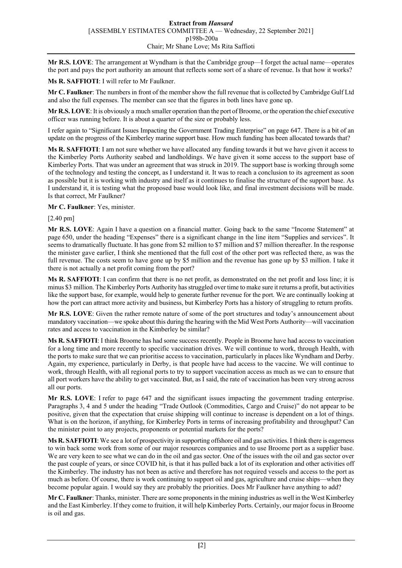**Mr R.S. LOVE**: The arrangement at Wyndham is that the Cambridge group—I forget the actual name—operates the port and pays the port authority an amount that reflects some sort of a share of revenue. Is that how it works?

**Ms R. SAFFIOTI**: I will refer to Mr Faulkner.

**Mr C. Faulkner**: The numbers in front of the member show the full revenue that is collected by Cambridge Gulf Ltd and also the full expenses. The member can see that the figures in both lines have gone up.

**Mr R.S. LOVE**: It is obviously a much smaller operation than the port of Broome, or the operation the chief executive officer was running before. It is about a quarter of the size or probably less.

I refer again to "Significant Issues Impacting the Government Trading Enterprise" on page 647. There is a bit of an update on the progress of the Kimberley marine support base. How much funding has been allocated towards that?

**Ms R. SAFFIOTI**: I am not sure whether we have allocated any funding towards it but we have given it access to the Kimberley Ports Authority seabed and landholdings. We have given it some access to the support base of Kimberley Ports. That was under an agreement that was struck in 2019. The support base is working through some of the technology and testing the concept, as I understand it. It was to reach a conclusion to its agreement as soon as possible but it is working with industry and itself as it continues to finalise the structure of the support base. As I understand it, it is testing what the proposed base would look like, and final investment decisions will be made. Is that correct, Mr Faulkner?

**Mr C. Faulkner**: Yes, minister.

[2.40 pm]

**Mr R.S. LOVE**: Again I have a question on a financial matter. Going back to the same "Income Statement" at page 650, under the heading "Expenses" there is a significant change in the line item "Supplies and services". It seems to dramatically fluctuate. It has gone from \$2 million to \$7 million and \$7 million thereafter. In the response the minister gave earlier, I think she mentioned that the full cost of the other port was reflected there, as was the full revenue. The costs seem to have gone up by \$5 million and the revenue has gone up by \$3 million. I take it there is not actually a net profit coming from the port?

**Ms R. SAFFIOTI**: I can confirm that there is no net profit, as demonstrated on the net profit and loss line; it is minus \$3 million. The Kimberley Ports Authority has struggled over time to make sure it returns a profit, but activities like the support base, for example, would help to generate further revenue for the port. We are continually looking at how the port can attract more activity and business, but Kimberley Ports has a history of struggling to return profits.

**Mr R.S. LOVE**: Given the rather remote nature of some of the port structures and today's announcement about mandatory vaccination—we spoke about this during the hearing with the Mid West Ports Authority—will vaccination rates and access to vaccination in the Kimberley be similar?

**Ms R. SAFFIOTI**: I think Broome has had some success recently. People in Broome have had access to vaccination for a long time and more recently to specific vaccination drives. We will continue to work, through Health, with the ports to make sure that we can prioritise access to vaccination, particularly in places like Wyndham and Derby. Again, my experience, particularly in Derby, is that people have had access to the vaccine. We will continue to work, through Health, with all regional ports to try to support vaccination access as much as we can to ensure that all port workers have the ability to get vaccinated. But, as I said, the rate of vaccination has been very strong across all our ports.

**Mr R.S. LOVE**: I refer to page 647 and the significant issues impacting the government trading enterprise. Paragraphs 3, 4 and 5 under the heading "Trade Outlook (Commodities, Cargo and Cruise)" do not appear to be positive, given that the expectation that cruise shipping will continue to increase is dependent on a lot of things. What is on the horizon, if anything, for Kimberley Ports in terms of increasing profitability and throughput? Can the minister point to any projects, proponents or potential markets for the ports?

**Ms R. SAFFIOTI**: We see a lot of prospectivity in supporting offshore oil and gas activities. I think there is eagerness to win back some work from some of our major resources companies and to use Broome port as a supplier base. We are very keen to see what we can do in the oil and gas sector. One of the issues with the oil and gas sector over the past couple of years, or since COVID hit, is that it has pulled back a lot of its exploration and other activities off the Kimberley. The industry has not been as active and therefore has not required vessels and access to the port as much as before. Of course, there is work continuing to support oil and gas, agriculture and cruise ships—when they become popular again. I would say they are probably the priorities. Does Mr Faulkner have anything to add?

**Mr C. Faulkner**: Thanks, minister. There are some proponents in the mining industries as well in the West Kimberley and the East Kimberley. If they come to fruition, it will help Kimberley Ports. Certainly, our major focus in Broome is oil and gas.